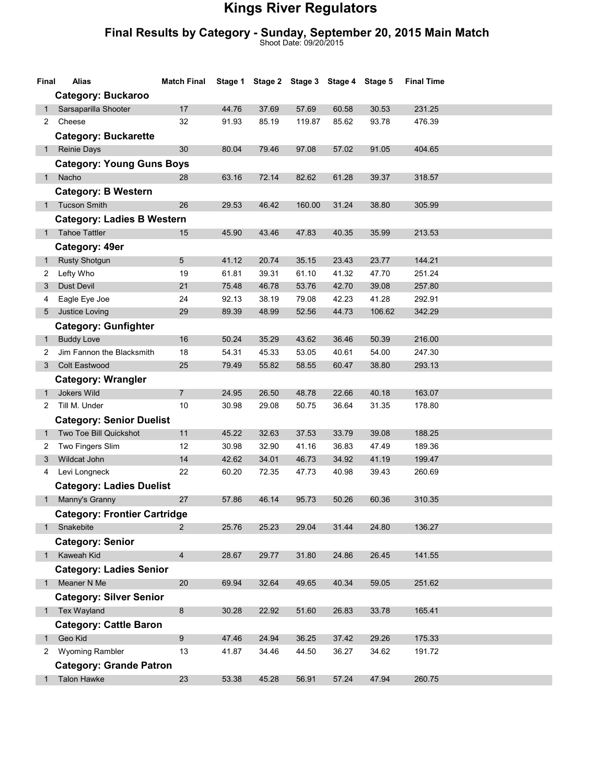## Kings River Regulators

## Final Results by Category - Sunday, September 20, 2015 Main Match

Shoot Date: 09/20/2015

| Final        | Alias                               | <b>Match Final</b> |       | Stage 1 Stage 2 Stage 3 Stage 4 Stage 5 |        |       |        | <b>Final Time</b> |  |
|--------------|-------------------------------------|--------------------|-------|-----------------------------------------|--------|-------|--------|-------------------|--|
|              | <b>Category: Buckaroo</b>           |                    |       |                                         |        |       |        |                   |  |
| 1            | Sarsaparilla Shooter                | 17                 | 44.76 | 37.69                                   | 57.69  | 60.58 | 30.53  | 231.25            |  |
| 2            | Cheese                              | 32                 | 91.93 | 85.19                                   | 119.87 | 85.62 | 93.78  | 476.39            |  |
|              | <b>Category: Buckarette</b>         |                    |       |                                         |        |       |        |                   |  |
| 1            | Reinie Days                         | 30                 | 80.04 | 79.46                                   | 97.08  | 57.02 | 91.05  | 404.65            |  |
|              | <b>Category: Young Guns Boys</b>    |                    |       |                                         |        |       |        |                   |  |
| 1            | Nacho                               | 28                 | 63.16 | 72.14                                   | 82.62  | 61.28 | 39.37  | 318.57            |  |
|              | <b>Category: B Western</b>          |                    |       |                                         |        |       |        |                   |  |
|              | 1 Tucson Smith                      | 26                 | 29.53 | 46.42                                   | 160.00 | 31.24 | 38.80  | 305.99            |  |
|              | <b>Category: Ladies B Western</b>   |                    |       |                                         |        |       |        |                   |  |
|              | <b>Tahoe Tattler</b>                | 15                 | 45.90 | 43.46                                   | 47.83  | 40.35 | 35.99  | 213.53            |  |
|              | Category: 49er                      |                    |       |                                         |        |       |        |                   |  |
| $\mathbf{1}$ | <b>Rusty Shotgun</b>                | 5                  | 41.12 | 20.74                                   | 35.15  | 23.43 | 23.77  | 144.21            |  |
| 2            | Lefty Who                           | 19                 | 61.81 | 39.31                                   | 61.10  | 41.32 | 47.70  | 251.24            |  |
| 3            | Dust Devil                          | 21                 | 75.48 | 46.78                                   | 53.76  | 42.70 | 39.08  | 257.80            |  |
| 4            | Eagle Eye Joe                       | 24                 | 92.13 | 38.19                                   | 79.08  | 42.23 | 41.28  | 292.91            |  |
| 5            | Justice Loving                      | 29                 | 89.39 | 48.99                                   | 52.56  | 44.73 | 106.62 | 342.29            |  |
|              | <b>Category: Gunfighter</b>         |                    |       |                                         |        |       |        |                   |  |
| 1.           | <b>Buddy Love</b>                   | 16                 | 50.24 | 35.29                                   | 43.62  | 36.46 | 50.39  | 216.00            |  |
| 2            | Jim Fannon the Blacksmith           | 18                 | 54.31 | 45.33                                   | 53.05  | 40.61 | 54.00  | 247.30            |  |
| 3            | Colt Eastwood                       | 25                 | 79.49 | 55.82                                   | 58.55  | 60.47 | 38.80  | 293.13            |  |
|              | <b>Category: Wrangler</b>           |                    |       |                                         |        |       |        |                   |  |
| $\mathbf 1$  | Jokers Wild                         | 7                  | 24.95 | 26.50                                   | 48.78  | 22.66 | 40.18  | 163.07            |  |
| 2            | Till M. Under                       | 10                 | 30.98 | 29.08                                   | 50.75  | 36.64 | 31.35  | 178.80            |  |
|              | <b>Category: Senior Duelist</b>     |                    |       |                                         |        |       |        |                   |  |
| 1            | Two Toe Bill Quickshot              | 11                 | 45.22 | 32.63                                   | 37.53  | 33.79 | 39.08  | 188.25            |  |
| 2            | Two Fingers Slim                    | 12                 | 30.98 | 32.90                                   | 41.16  | 36.83 | 47.49  | 189.36            |  |
| 3            | Wildcat John                        | 14                 | 42.62 | 34.01                                   | 46.73  | 34.92 | 41.19  | 199.47            |  |
| 4            | Levi Longneck                       | 22                 | 60.20 | 72.35                                   | 47.73  | 40.98 | 39.43  | 260.69            |  |
|              | <b>Category: Ladies Duelist</b>     |                    |       |                                         |        |       |        |                   |  |
|              | Manny's Granny                      | 27                 | 57.86 | 46.14                                   | 95.73  | 50.26 | 60.36  | 310.35            |  |
|              | <b>Category: Frontier Cartridge</b> |                    |       |                                         |        |       |        |                   |  |
| $1 \quad$    | Snakebite                           | $\overline{2}$     | 25.76 | 25.23                                   | 29.04  | 31.44 | 24.80  | 136.27            |  |
|              | <b>Category: Senior</b>             |                    |       |                                         |        |       |        |                   |  |
|              | 1 Kaweah Kid                        | $\overline{4}$     | 28.67 | 29.77                                   | 31.80  | 24.86 | 26.45  | 141.55            |  |
|              | <b>Category: Ladies Senior</b>      |                    |       |                                         |        |       |        |                   |  |
| 1            | Meaner N Me                         | 20                 | 69.94 | 32.64                                   | 49.65  | 40.34 | 59.05  | 251.62            |  |
|              | <b>Category: Silver Senior</b>      |                    |       |                                         |        |       |        |                   |  |
|              | 1 Tex Wayland                       | 8                  | 30.28 | 22.92                                   | 51.60  | 26.83 | 33.78  | 165.41            |  |
|              | <b>Category: Cattle Baron</b>       |                    |       |                                         |        |       |        |                   |  |
| $1 \quad$    | Geo Kid                             | 9                  | 47.46 | 24.94                                   | 36.25  | 37.42 | 29.26  | 175.33            |  |
| $\mathbf{2}$ | Wyoming Rambler                     | 13                 | 41.87 | 34.46                                   | 44.50  | 36.27 | 34.62  | 191.72            |  |
|              | <b>Category: Grande Patron</b>      |                    |       |                                         |        |       |        |                   |  |
| 1            | <b>Talon Hawke</b>                  | 23                 | 53.38 | 45.28                                   | 56.91  | 57.24 | 47.94  | 260.75            |  |